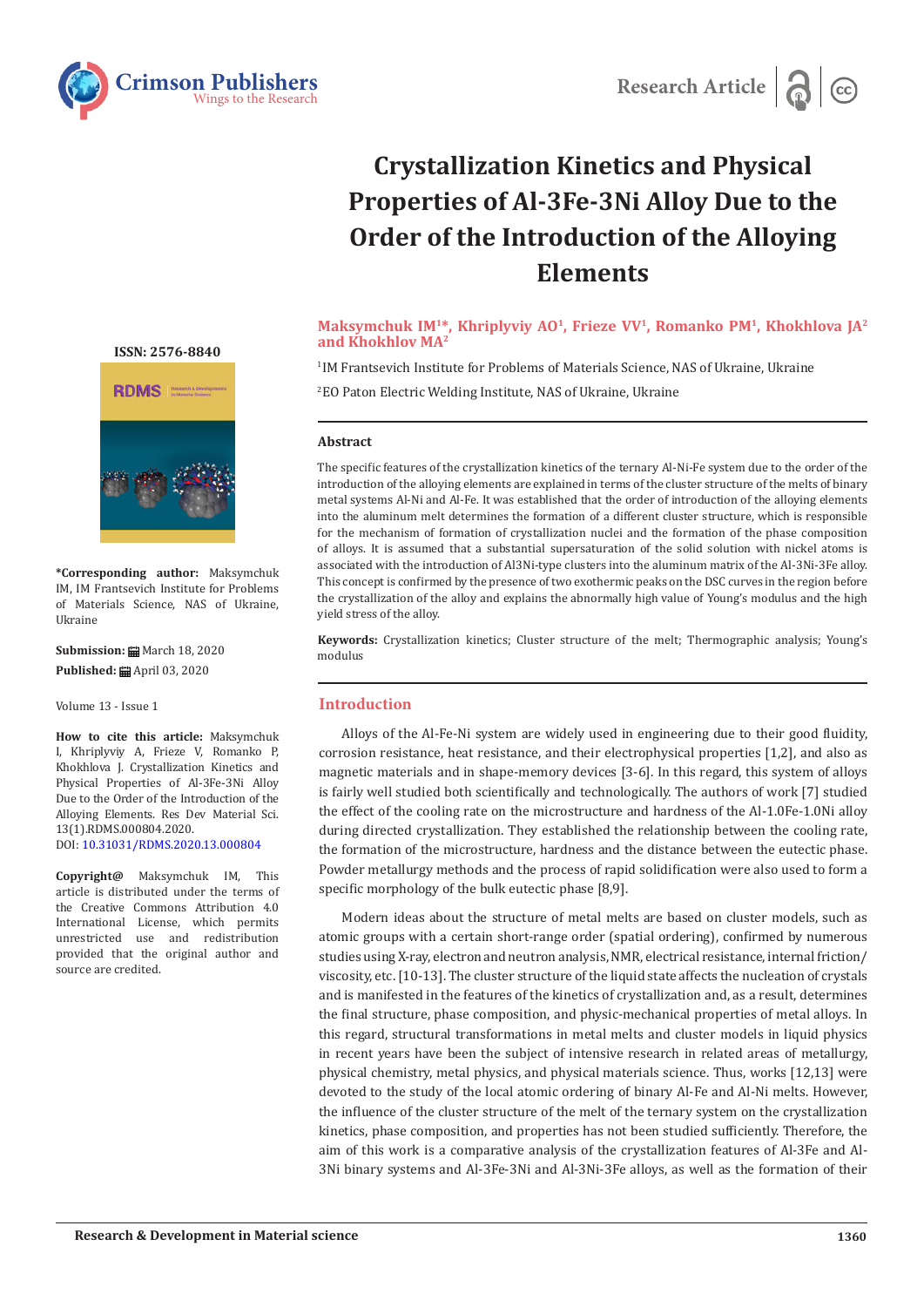



# **Crystallization Kinetics and Physical Properties of Al-3Fe-3Ni Alloy Due to the Order of the Introduction of the Alloying Elements**

# Maksymchuk IM<sup>1\*</sup>, Khriplyviy AO<sup>1</sup>, Frieze VV<sup>1</sup>, Romanko PM<sup>1</sup>, Khokhlova JA<sup>2</sup> **and Khokhlov MA2**

1 IM Frantsevich Institute for Problems of Materials Science, NAS of Ukraine, Ukraine 2 EO Paton Electric Welding Institute, NAS of Ukraine, Ukraine

## **Abstract**

The specific features of the crystallization kinetics of the ternary Al-Ni-Fe system due to the order of the introduction of the alloying elements are explained in terms of the cluster structure of the melts of binary metal systems Al-Ni and Al-Fe. It was established that the order of introduction of the alloying elements into the aluminum melt determines the formation of a different cluster structure, which is responsible for the mechanism of formation of crystallization nuclei and the formation of the phase composition of alloys. It is assumed that a substantial supersaturation of the solid solution with nickel atoms is associated with the introduction of Al3Ni-type clusters into the aluminum matrix of the Al-3Ni-3Fe alloy. This concept is confirmed by the presence of two exothermic peaks on the DSC curves in the region before the crystallization of the alloy and explains the abnormally high value of Young's modulus and the high yield stress of the alloy.

**Keywords:** Crystallization kinetics; Cluster structure of the melt; Thermographic analysis; Young's modulus

## **Introduction**

Alloys of the Al-Fe-Ni system are widely used in engineering due to their good fluidity, corrosion resistance, heat resistance, and their electrophysical properties [1,2], and also as magnetic materials and in shape-memory devices [3-6]. In this regard, this system of alloys is fairly well studied both scientifically and technologically. The authors of work [7] studied the effect of the cooling rate on the microstructure and hardness of the Al-1.0Fe-1.0Ni alloy during directed crystallization. They established the relationship between the cooling rate, the formation of the microstructure, hardness and the distance between the eutectic phase. Powder metallurgy methods and the process of rapid solidification were also used to form a specific morphology of the bulk eutectic phase [8,9].

Modern ideas about the structure of metal melts are based on cluster models, such as atomic groups with a certain short-range order (spatial ordering), confirmed by numerous studies using X-ray, electron and neutron analysis, NMR, electrical resistance, internal friction/ viscosity, etc. [10-13]. The cluster structure of the liquid state affects the nucleation of crystals and is manifested in the features of the kinetics of crystallization and, as a result, determines the final structure, phase composition, and physic-mechanical properties of metal alloys. In this regard, structural transformations in metal melts and cluster models in liquid physics in recent years have been the subject of intensive research in related areas of metallurgy, physical chemistry, metal physics, and physical materials science. Thus, works [12,13] were devoted to the study of the local atomic ordering of binary Al-Fe and Al-Ni melts. However, the influence of the cluster structure of the melt of the ternary system on the crystallization kinetics, phase composition, and properties has not been studied sufficiently. Therefore, the aim of this work is a comparative analysis of the crystallization features of Al-3Fe and Al-3Ni binary systems and Al-3Fe-3Ni and Al-3Ni-3Fe alloys, as well as the formation of their

**[ISSN: 2576-8840](https://crimsonpublishers.com/rdms/index.php)**



**\*Corresponding author:** Maksymchuk IM, IM Frantsevich Institute for Problems of Materials Science, NAS of Ukraine, Ukraine

**Submission:** March 18, 2020 Published: **曲** April 03, 2020

Volume 13 - Issue 1

**How to cite this article:** Maksymchuk I, Khriplyviy A, Frieze V, Romanko P, Khokhlova J. Crystallization Kinetics and Physical Properties of Al-3Fe-3Ni Alloy Due to the Order of the Introduction of the Alloying Elements. Res Dev Material Sci. 13(1).RDMS.000804.2020. DOI: [10.31031/RDMS.2020.13.000](http://dx.doi.org/10.31031/RDMS.2020.13.000804)804

**Copyright@** Maksymchuk IM, This article is distributed under the terms of the Creative Commons Attribution 4.0 International License, which permits unrestricted use and redistribution provided that the original author and source are credited.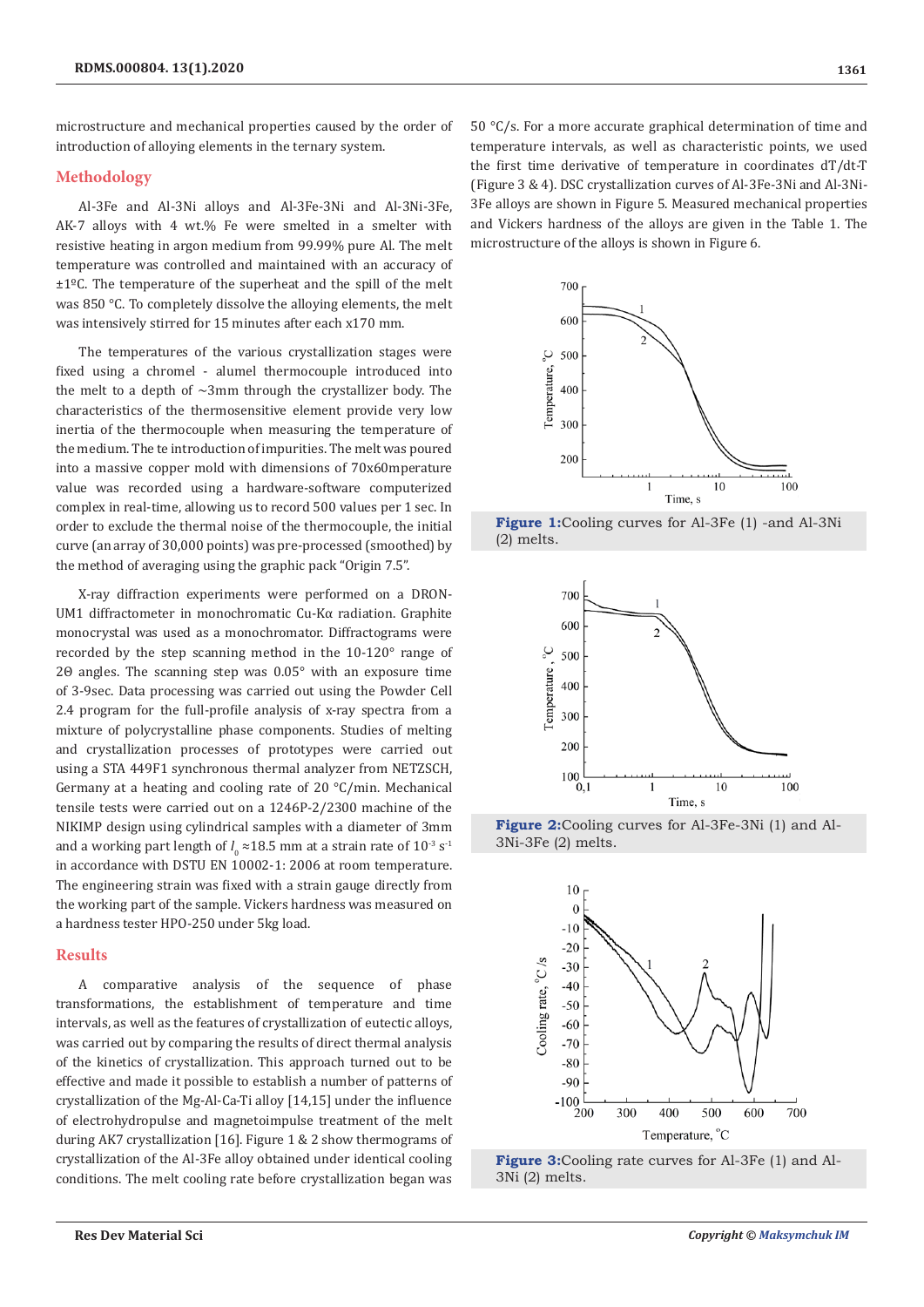microstructure and mechanical properties caused by the order of introduction of alloying elements in the ternary system.

#### **Methodology**

Al-3Fe and Al-3Ni alloys and Al-3Fe-3Ni and Al-3Ni-3Fe, AK-7 alloys with 4 wt.% Fe were smelted in a smelter with resistive heating in argon medium from 99.99% pure Al. The melt temperature was controlled and maintained with an accuracy of ±1ºС. The temperature of the superheat and the spill of the melt was 850 °C. To completely dissolve the alloying elements, the melt was intensively stirred for 15 minutes after each x170 mm.

The temperatures of the various crystallization stages were fixed using a chromel - alumel thermocouple introduced into the melt to a depth of  $\sim$ 3mm through the crystallizer body. The characteristics of the thermosensitive element provide very low inertia of the thermocouple when measuring the temperature of the medium. The te introduction of impurities. The melt was poured into a massive copper mold with dimensions of 70x60mperature value was recorded using a hardware-software computerized complex in real-time, allowing us to record 500 values per 1 sec. In order to exclude the thermal noise of the thermocouple, the initial curve (an array of 30,000 points) was pre-processed (smoothed) by the method of averaging using the graphic pack "Origin 7.5".

X-ray diffraction experiments were performed on a DRON-UM1 diffractometer in monochromatic Cu-Kα radiation. Graphite monocrystal was used as a monochromator. Diffractograms were recorded by the step scanning method in the 10-120° range of 2Θ angles. The scanning step was 0.05° with an exposure time of 3-9sec. Data processing was carried out using the Powder Cell 2.4 program for the full-profile analysis of x-ray spectra from a mixture of polycrystalline phase components. Studies of melting and crystallization processes of prototypes were carried out using a STA 449F1 synchronous thermal analyzer from NETZSCH, Germany at a heating and cooling rate of 20 °C/min. Mechanical tensile tests were carried out on a 1246P-2/2300 machine of the NIKIMP design using cylindrical samples with a diameter of 3mm and a working part length of  $l_0 \approx 18.5$  mm at a strain rate of  $10^{-3}$  s<sup>-1</sup> in accordance with DSTU EN 10002-1: 2006 at room temperature. The engineering strain was fixed with a strain gauge directly from the working part of the sample. Vickers hardness was measured on a hardness tester HPO-250 under 5kg load.

#### **Results**

A comparative analysis of the sequence of phase transformations, the establishment of temperature and time intervals, as well as the features of crystallization of eutectic alloys, was carried out by comparing the results of direct thermal analysis of the kinetics of crystallization. This approach turned out to be effective and made it possible to establish a number of patterns of crystallization of the Mg-Al-Ca-Ti alloy [14,15] under the influence of electrohydropulse and magnetoimpulse treatment of the melt during AK7 crystallization [16]. Figure 1 & 2 show thermograms of crystallization of the Al-3Fe alloy obtained under identical cooling conditions. The melt cooling rate before crystallization began was

50 °C/s. For a more accurate graphical determination of time and temperature intervals, as well as characteristic points, we used the first time derivative of temperature in coordinates dT/dt-T (Figure 3 & 4). DSC crystallization curves of Al-3Fe-3Ni and Al-3Ni-3Fe alloys are shown in Figure 5. Measured mechanical properties and Vickers hardness of the alloys are given in the Table 1. The microstructure of the alloys is shown in Figure 6.



**Figure 1:**Cooling curves for Al-3Fe (1) -and Al-3Ni (2) melts.



**Figure 2:**Cooling curves for Al-3Fe-3Ni (1) and Al-3Ni-3Fe (2) melts.



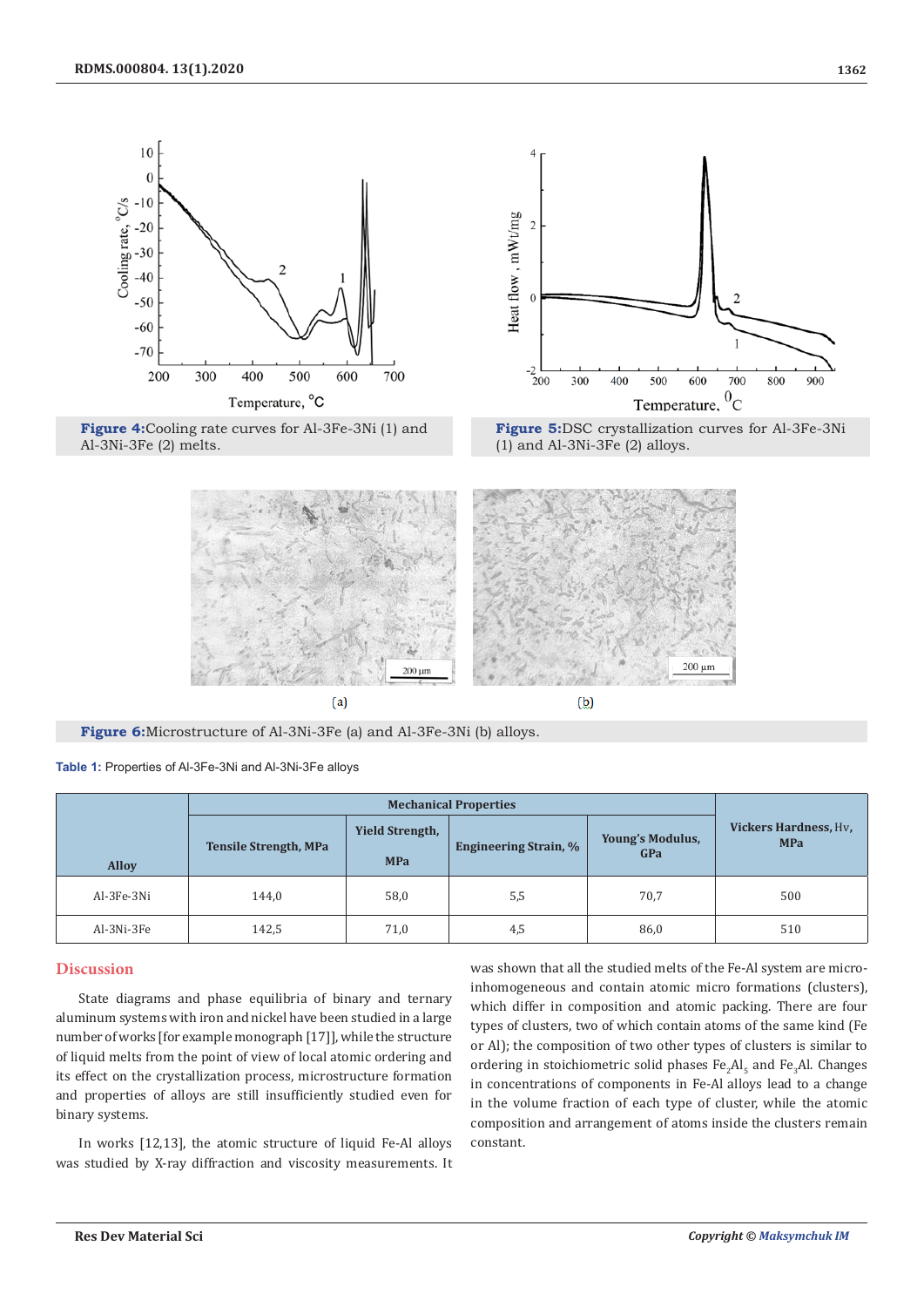







**Figure 6:**Microstructure of Al-3Ni-3Fe (a) and Al-3Fe-3Ni (b) alloys.

**Table 1:** Properties of Al-3Fe-3Ni and Al-3Ni-3Fe alloys

|              | <b>Mechanical Properties</b> |                                      |                              |                                |                                            |
|--------------|------------------------------|--------------------------------------|------------------------------|--------------------------------|--------------------------------------------|
| <b>Alloy</b> | <b>Tensile Strength, MPa</b> | <b>Yield Strength,</b><br><b>MPa</b> | <b>Engineering Strain, %</b> | <b>Young's Modulus,</b><br>GPa | <b>Vickers Hardness, Hv.</b><br><b>MPa</b> |
| Al-3Fe-3Ni   | 144,0                        | 58,0                                 | 5,5                          | 70,7                           | 500                                        |
| Al-3Ni-3Fe   | 142,5                        | 71,0                                 | 4,5                          | 86,0                           | 510                                        |

# **Discussion**

State diagrams and phase equilibria of binary and ternary aluminum systems with iron and nickel have been studied in a large number of works [for example monograph [17]], while the structure of liquid melts from the point of view of local atomic ordering and its effect on the crystallization process, microstructure formation and properties of alloys are still insufficiently studied even for binary systems.

In works [12,13], the atomic structure of liquid Fe-Al alloys was studied by X-ray diffraction and viscosity measurements. It was shown that all the studied melts of the Fe-Al system are microinhomogeneous and contain atomic micro formations (clusters), which differ in composition and atomic packing. There are four types of clusters, two of which contain atoms of the same kind (Fe or Al); the composition of two other types of clusters is similar to ordering in stoichiometric solid phases  $Fe<sub>2</sub>Al<sub>5</sub>$  and  $Fe<sub>3</sub>Al$ . Changes in concentrations of components in Fe-Al alloys lead to a change in the volume fraction of each type of cluster, while the atomic composition and arrangement of atoms inside the clusters remain constant.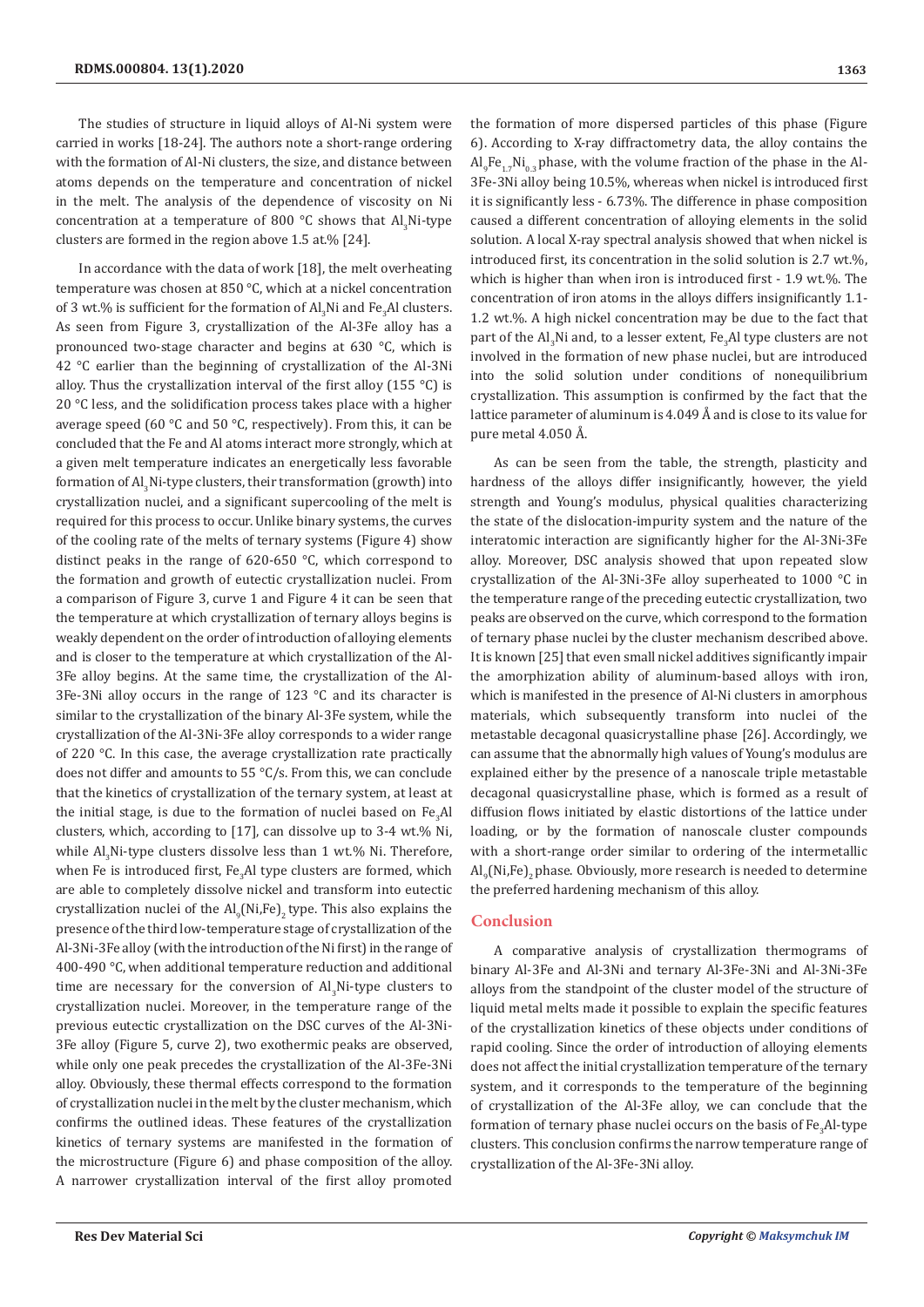The studies of structure in liquid alloys of Al-Ni system were carried in works [18-24]. The authors note a short-range ordering with the formation of Al-Ni clusters, the size, and distance between atoms depends on the temperature and concentration of nickel in the melt. The analysis of the dependence of viscosity on Ni concentration at a temperature of 800  $\degree$ C shows that  $\text{Al}_3\text{Ni-type}$ clusters are formed in the region above 1.5 at.% [24].

In accordance with the data of work [18], the melt overheating temperature was chosen at 850 °C, which at a nickel concentration of 3 wt.% is sufficient for the formation of  $\text{Al}_3\text{Ni}$  and Fe $_3\text{Al}$  clusters. As seen from Figure 3, crystallization of the Al-3Fe alloy has a pronounced two-stage character and begins at 630 °C, which is 42 °C earlier than the beginning of crystallization of the Al-3Ni alloy. Thus the crystallization interval of the first alloy (155 °C) is 20 °C less, and the solidification process takes place with a higher average speed (60 °C and 50 °C, respectively). From this, it can be concluded that the Fe and Al atoms interact more strongly, which at a given melt temperature indicates an energetically less favorable formation of Al<sub>3</sub>Ni-type clusters, their transformation (growth) into crystallization nuclei, and a significant supercooling of the melt is required for this process to occur. Unlike binary systems, the curves of the cooling rate of the melts of ternary systems (Figure 4) show distinct peaks in the range of 620-650 °C, which correspond to the formation and growth of eutectic crystallization nuclei. From a comparison of Figure 3, curve 1 and Figure 4 it can be seen that the temperature at which crystallization of ternary alloys begins is weakly dependent on the order of introduction of alloying elements and is closer to the temperature at which crystallization of the Al-3Fe alloy begins. At the same time, the crystallization of the Al-3Fe-3Ni alloy occurs in the range of 123 °C and its character is similar to the crystallization of the binary Al-3Fe system, while the crystallization of the Al-3Ni-3Fe alloy corresponds to a wider range of 220 °C. In this case, the average crystallization rate practically does not differ and amounts to 55 °C/s. From this, we can conclude that the kinetics of crystallization of the ternary system, at least at the initial stage, is due to the formation of nuclei based on  $\text{Fe}_{3}\text{Al}$ clusters, which, according to [17], can dissolve up to 3-4 wt.% Ni, while Al<sub>3</sub>Ni-type clusters dissolve less than 1 wt.% Ni. Therefore, when Fe is introduced first, Fe<sub>3</sub>Al type clusters are formed, which are able to completely dissolve nickel and transform into eutectic crystallization nuclei of the  $\text{Al}_9\text{(Ni,Fe)}_2$  type. This also explains the presence of the third low-temperature stage of crystallization of the Al-3Ni-3Fe alloy (with the introduction of the Ni first) in the range of 400-490 °C, when additional temperature reduction and additional time are necessary for the conversion of  $Al<sub>3</sub>Ni$ -type clusters to crystallization nuclei. Moreover, in the temperature range of the previous eutectic crystallization on the DSC curves of the Al-3Ni-3Fe alloy (Figure 5, curve 2), two exothermic peaks are observed, while only one peak precedes the crystallization of the Al-3Fe-3Ni alloy. Obviously, these thermal effects correspond to the formation of crystallization nuclei in the melt by the cluster mechanism, which confirms the outlined ideas. These features of the crystallization kinetics of ternary systems are manifested in the formation of the microstructure (Figure 6) and phase composition of the alloy. A narrower crystallization interval of the first alloy promoted

the formation of more dispersed particles of this phase (Figure 6). According to X-ray diffractometry data, the alloy contains the  ${\rm Al}_9$ Fe $_{1.7}$ Ni $_{0.3}$  phase, with the volume fraction of the phase in the Al-3Fe-3Ni alloy being 10.5%, whereas when nickel is introduced first it is significantly less - 6.73%. The difference in phase composition caused a different concentration of alloying elements in the solid solution. A local X-ray spectral analysis showed that when nickel is introduced first, its concentration in the solid solution is 2.7 wt.%, which is higher than when iron is introduced first - 1.9 wt.%. The concentration of iron atoms in the alloys differs insignificantly 1.1- 1.2 wt.%. A high nickel concentration may be due to the fact that part of the  $\text{Al}_3\text{Ni}$  and, to a lesser extent, Fe $_3\text{Al}$  type clusters are not involved in the formation of new phase nuclei, but are introduced into the solid solution under conditions of nonequilibrium crystallization. This assumption is confirmed by the fact that the lattice parameter of aluminum is 4.049 Å and is close to its value for pure metal 4.050 Å.

As can be seen from the table, the strength, plasticity and hardness of the alloys differ insignificantly, however, the yield strength and Young's modulus, physical qualities characterizing the state of the dislocation-impurity system and the nature of the interatomic interaction are significantly higher for the Al-3Ni-3Fe alloy. Moreover, DSC analysis showed that upon repeated slow crystallization of the Al-3Ni-3Fe alloy superheated to 1000 °C in the temperature range of the preceding eutectic crystallization, two peaks are observed on the curve, which correspond to the formation of ternary phase nuclei by the cluster mechanism described above. It is known [25] that even small nickel additives significantly impair the amorphization ability of aluminum-based alloys with iron, which is manifested in the presence of Al-Ni clusters in amorphous materials, which subsequently transform into nuclei of the metastable decagonal quasicrystalline phase [26]. Accordingly, we can assume that the abnormally high values of Young's modulus are explained either by the presence of a nanoscale triple metastable decagonal quasicrystalline phase, which is formed as a result of diffusion flows initiated by elastic distortions of the lattice under loading, or by the formation of nanoscale cluster compounds with a short-range order similar to ordering of the intermetallic  ${\rm Al}_{9}$ (Ni,Fe) $_{2}$ phase. Obviously, more research is needed to determine the preferred hardening mechanism of this alloy.

## **Conclusion**

A comparative analysis of crystallization thermograms of binary Al-3Fe and Al-3Ni and ternary Al-3Fe-3Ni and Al-3Ni-3Fe alloys from the standpoint of the cluster model of the structure of liquid metal melts made it possible to explain the specific features of the crystallization kinetics of these objects under conditions of rapid cooling. Since the order of introduction of alloying elements does not affect the initial crystallization temperature of the ternary system, and it corresponds to the temperature of the beginning of crystallization of the Al-3Fe alloy, we can conclude that the formation of ternary phase nuclei occurs on the basis of  $\mathrm{Fe_{3}Al\text{-}type}$ clusters. This conclusion confirms the narrow temperature range of crystallization of the Al-3Fe-3Ni alloy.